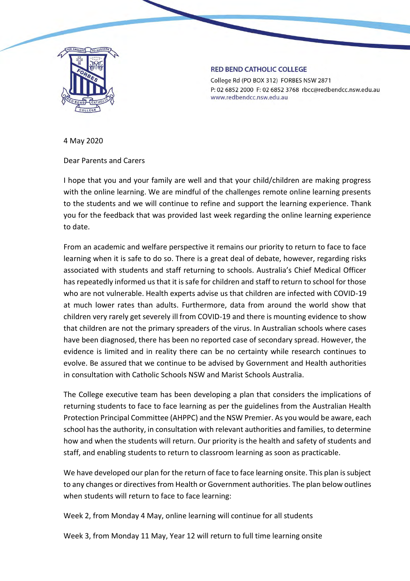

## **RED BEND CATHOLIC COLLEGE**

College Rd (PO BOX 312) FORBES NSW 2871 P: 02 6852 2000 F: 02 6852 3768 rbcc@redbendcc.nsw.edu.au www.redbendcc.nsw.edu.au

4 May 2020

Dear Parents and Carers

I hope that you and your family are well and that your child/children are making progress with the online learning. We are mindful of the challenges remote online learning presents to the students and we will continue to refine and support the learning experience. Thank you for the feedback that was provided last week regarding the online learning experience to date.

From an academic and welfare perspective it remains our priority to return to face to face learning when it is safe to do so. There is a great deal of debate, however, regarding risks associated with students and staff returning to schools. Australia's Chief Medical Officer has repeatedly informed us that it is safe for children and staff to return to school for those who are not vulnerable. Health experts advise us that children are infected with COVID-19 at much lower rates than adults. Furthermore, data from around the world show that children very rarely get severely ill from COVID-19 and there is mounting evidence to show that children are not the primary spreaders of the virus. In Australian schools where cases have been diagnosed, there has been no reported case of secondary spread. However, the evidence is limited and in reality there can be no certainty while research continues to evolve. Be assured that we continue to be advised by Government and Health authorities in consultation with Catholic Schools NSW and Marist Schools Australia.

The College executive team has been developing a plan that considers the implications of returning students to face to face learning as per the guidelines from the Australian Health Protection Principal Committee (AHPPC) and the NSW Premier. As you would be aware, each school has the authority, in consultation with relevant authorities and families, to determine how and when the students will return. Our priority is the health and safety of students and staff, and enabling students to return to classroom learning as soon as practicable.

We have developed our plan for the return of face to face learning onsite. This plan is subject to any changes or directives from Health or Government authorities. The plan below outlines when students will return to face to face learning:

Week 2, from Monday 4 May, online learning will continue for all students

Week 3, from Monday 11 May, Year 12 will return to full time learning onsite